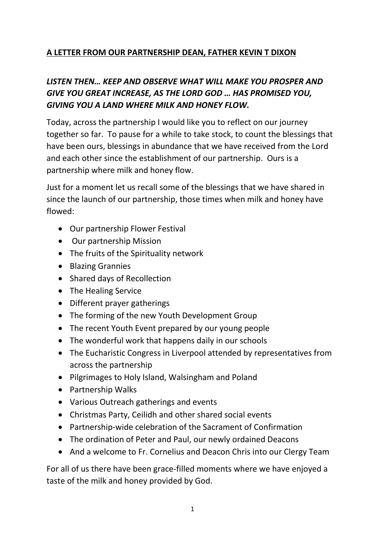## **A LETTER FROM OUR PARTNERSHIP DEAN, FATHER KEVIN T DIXON**

## *LISTEN THEN… KEEP AND OBSERVE WHAT WILL MAKE YOU PROSPER AND GIVE YOU GREAT INCREASE, AS THE LORD GOD … HAS PROMISED YOU, GIVING YOU A LAND WHERE MILK AND HONEY FLOW.*

Today, across the partnership I would like you to reflect on our journey together so far. To pause for a while to take stock, to count the blessings that have been ours, blessings in abundance that we have received from the Lord and each other since the establishment of our partnership. Ours is a partnership where milk and honey flow.

Just for a moment let us recall some of the blessings that we have shared in since the launch of our partnership, those times when milk and honey have flowed:

- Our partnership Flower Festival
- Our partnership Mission
- The fruits of the Spirituality network
- Blazing Grannies
- Shared days of Recollection
- The Healing Service
- Different prayer gatherings
- The forming of the new Youth Development Group
- The recent Youth Event prepared by our young people
- The wonderful work that happens daily in our schools
- The Eucharistic Congress in Liverpool attended by representatives from across the partnership
- Pilgrimages to Holy Island, Walsingham and Poland
- Partnership Walks
- Various Outreach gatherings and events
- Christmas Party, Ceilidh and other shared social events
- Partnership-wide celebration of the Sacrament of Confirmation
- The ordination of Peter and Paul, our newly ordained Deacons
- And a welcome to Fr. Cornelius and Deacon Chris into our Clergy Team

For all of us there have been grace-filled moments where we have enjoyed a taste of the milk and honey provided by God.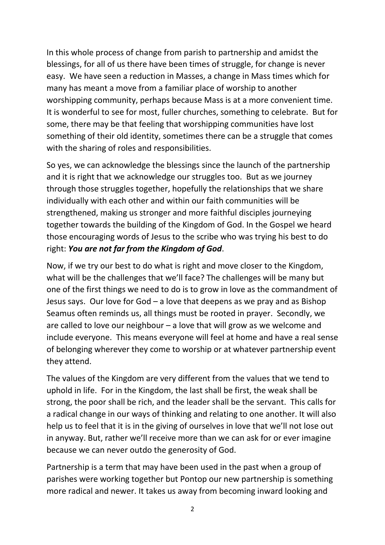In this whole process of change from parish to partnership and amidst the blessings, for all of us there have been times of struggle, for change is never easy. We have seen a reduction in Masses, a change in Mass times which for many has meant a move from a familiar place of worship to another worshipping community, perhaps because Mass is at a more convenient time. It is wonderful to see for most, fuller churches, something to celebrate. But for some, there may be that feeling that worshipping communities have lost something of their old identity, sometimes there can be a struggle that comes with the sharing of roles and responsibilities.

So yes, we can acknowledge the blessings since the launch of the partnership and it is right that we acknowledge our struggles too. But as we journey through those struggles together, hopefully the relationships that we share individually with each other and within our faith communities will be strengthened, making us stronger and more faithful disciples journeying together towards the building of the Kingdom of God. In the Gospel we heard those encouraging words of Jesus to the scribe who was trying his best to do right: *You are not far from the Kingdom of God*.

Now, if we try our best to do what is right and move closer to the Kingdom, what will be the challenges that we'll face? The challenges will be many but one of the first things we need to do is to grow in love as the commandment of Jesus says. Our love for God – a love that deepens as we pray and as Bishop Seamus often reminds us, all things must be rooted in prayer. Secondly, we are called to love our neighbour  $-$  a love that will grow as we welcome and include everyone. This means everyone will feel at home and have a real sense of belonging wherever they come to worship or at whatever partnership event they attend.

The values of the Kingdom are very different from the values that we tend to uphold in life. For in the Kingdom, the last shall be first, the weak shall be strong, the poor shall be rich, and the leader shall be the servant. This calls for a radical change in our ways of thinking and relating to one another. It will also help us to feel that it is in the giving of ourselves in love that we'll not lose out in anyway. But, rather we'll receive more than we can ask for or ever imagine because we can never outdo the generosity of God.

Partnership is a term that may have been used in the past when a group of parishes were working together but Pontop our new partnership is something more radical and newer. It takes us away from becoming inward looking and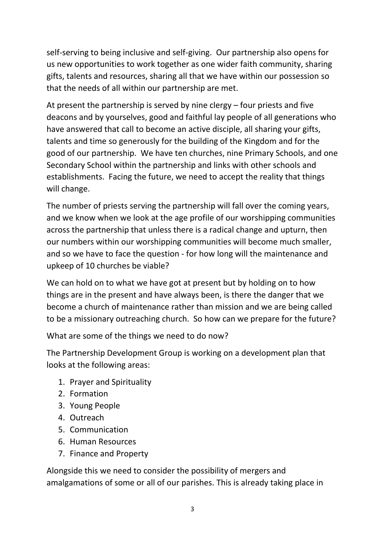self-serving to being inclusive and self-giving. Our partnership also opens for us new opportunities to work together as one wider faith community, sharing gifts, talents and resources, sharing all that we have within our possession so that the needs of all within our partnership are met.

At present the partnership is served by nine clergy – four priests and five deacons and by yourselves, good and faithful lay people of all generations who have answered that call to become an active disciple, all sharing your gifts, talents and time so generously for the building of the Kingdom and for the good of our partnership. We have ten churches, nine Primary Schools, and one Secondary School within the partnership and links with other schools and establishments. Facing the future, we need to accept the reality that things will change.

The number of priests serving the partnership will fall over the coming years, and we know when we look at the age profile of our worshipping communities across the partnership that unless there is a radical change and upturn, then our numbers within our worshipping communities will become much smaller, and so we have to face the question - for how long will the maintenance and upkeep of 10 churches be viable?

We can hold on to what we have got at present but by holding on to how things are in the present and have always been, is there the danger that we become a church of maintenance rather than mission and we are being called to be a missionary outreaching church. So how can we prepare for the future?

What are some of the things we need to do now?

The Partnership Development Group is working on a development plan that looks at the following areas:

- 1. Prayer and Spirituality
- 2. Formation
- 3. Young People
- 4. Outreach
- 5. Communication
- 6. Human Resources
- 7. Finance and Property

Alongside this we need to consider the possibility of mergers and amalgamations of some or all of our parishes. This is already taking place in